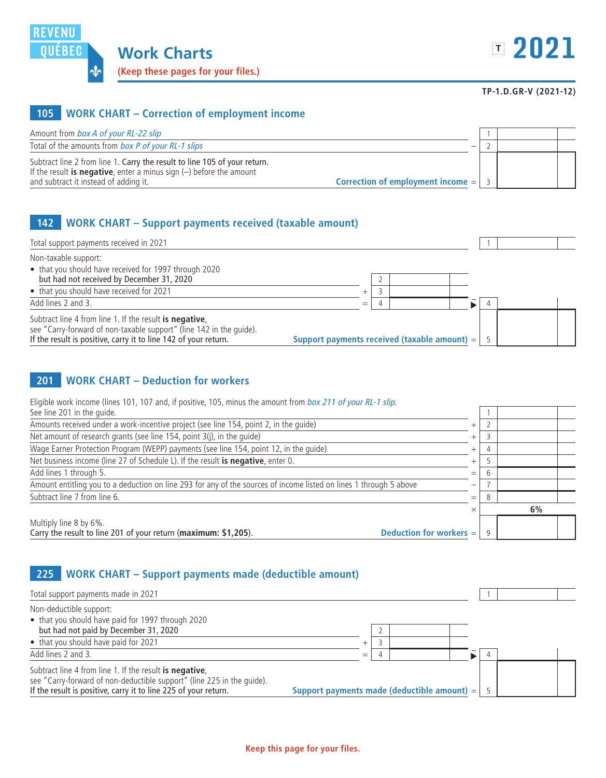

#### **TP-1.D.GR-V (2021-12)**

## **105 WORK CHART – Correction of employment income**

| Amount from box A of your RL-22 slip                                                                                                                          |  |  |
|---------------------------------------------------------------------------------------------------------------------------------------------------------------|--|--|
| Total of the amounts from box P of your RL-1 slips                                                                                                            |  |  |
| Subtract line 2 from line 1. Carry the result to line 105 of your return.                                                                                     |  |  |
| If the result is negative, enter a minus sign $(-)$ before the amount<br>Correction of employment income $=$ $\vert$<br>and subtract it instead of adding it. |  |  |

## **142 WORK CHART – Support payments received (taxable amount)**

| Total support payments received in 2021                                                                                                                                                           |     |                                                      |  |  |
|---------------------------------------------------------------------------------------------------------------------------------------------------------------------------------------------------|-----|------------------------------------------------------|--|--|
| Non-taxable support:<br>• that you should have received for 1997 through 2020                                                                                                                     |     |                                                      |  |  |
| but had not received by December 31, 2020                                                                                                                                                         |     |                                                      |  |  |
| • that you should have received for 2021                                                                                                                                                          |     |                                                      |  |  |
| Add lines 2 and 3.                                                                                                                                                                                | $=$ |                                                      |  |  |
| Subtract line 4 from line 1. If the result is negative,<br>see "Carry-forward of non-taxable support" (line 142 in the quide).<br>If the result is positive, carry it to line 142 of your return. |     | Support payments received (taxable amount) = $\vert$ |  |  |

### **201 WORK CHART – Deduction for workers**

| Eligible work income (lines 101, 107 and, if positive, 105, minus the amount from box 211 of your RL-1 slip.       |                          |   |    |
|--------------------------------------------------------------------------------------------------------------------|--------------------------|---|----|
| See line 201 in the quide.                                                                                         |                          |   |    |
| Amounts received under a work-incentive project (see line 154, point 2, in the guide)                              | $^{+}$                   |   |    |
| Net amount of research grants (see line 154, point 3(j), in the guide)                                             | $^{+}$                   |   |    |
| Wage Earner Protection Program (WEPP) payments (see line 154, point 12, in the quide)                              | $^{+}$                   |   |    |
| Net business income (line 27 of Schedule L). If the result is negative, enter 0.                                   | $^{+}$                   |   |    |
| Add lines 1 through 5.                                                                                             | $=$                      |   |    |
| Amount entitling you to a deduction on line 293 for any of the sources of income listed on lines 1 through 5 above | $\overline{\phantom{0}}$ |   |    |
| Subtract line 7 from line 6.                                                                                       | $=$                      | 8 |    |
|                                                                                                                    | $\times$                 |   | 6% |
| Multiply line 8 by 6%.                                                                                             |                          |   |    |
| Carry the result to line 201 of your return (maximum: \$1,205).<br><b>Deduction for workers <math>=</math></b>     |                          |   |    |

# **225 WORK CHART – Support payments made (deductible amount)**

| Total support payments made in 2021                                                                                                                                                                  |                                               |  |  |  |
|------------------------------------------------------------------------------------------------------------------------------------------------------------------------------------------------------|-----------------------------------------------|--|--|--|
| Non-deductible support:<br>• that you should have paid for 1997 through 2020                                                                                                                         |                                               |  |  |  |
| but had not paid by December 31, 2020                                                                                                                                                                |                                               |  |  |  |
| • that you should have paid for 2021                                                                                                                                                                 |                                               |  |  |  |
| Add lines 2 and 3.                                                                                                                                                                                   | $=$                                           |  |  |  |
| Subtract line 4 from line 1. If the result is negative,<br>see "Carry-forward of non-deductible support" (line 225 in the quide).<br>If the result is positive, carry it to line 225 of your return. | Support payments made (deductible amount) $=$ |  |  |  |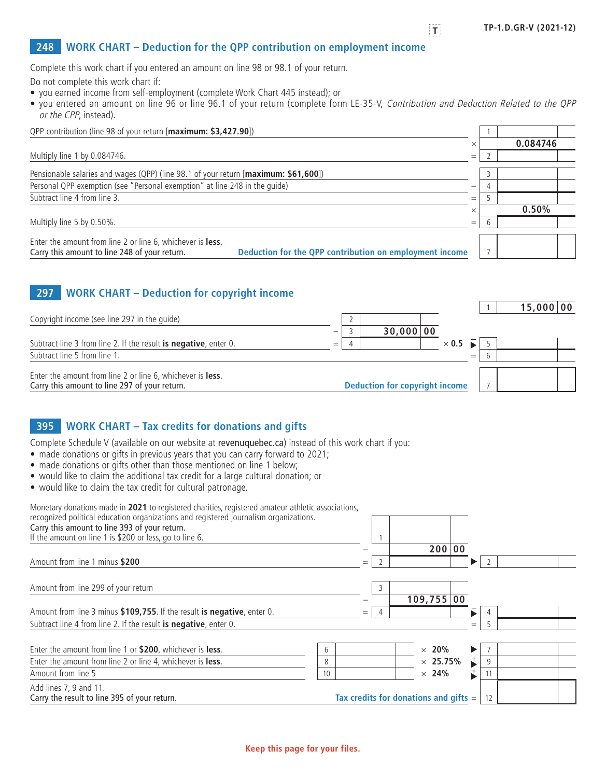### **248 WORK CHART – Deduction for the QPP contribution on employment income**

Complete this work chart if you entered an amount on line 98 or 98.1 of your return.

Do not complete this work chart if:

- you earned income from self-employment (complete Work Chart 445 instead); or
- you entered an amount on line 96 or line 96.1 of your return (complete form LE-35-V, Contribution and Deduction Related to the QPP or the CPP, instead).

| OPP contribution (line 98 of your return [maximum: \$3,427.90])                                                                                                                |          |          |  |
|--------------------------------------------------------------------------------------------------------------------------------------------------------------------------------|----------|----------|--|
|                                                                                                                                                                                |          | 0.084746 |  |
| Multiply line 1 by 0.084746.                                                                                                                                                   | $=$      |          |  |
| Pensionable salaries and wages (QPP) (line 98.1 of your return [maximum: \$61,600])                                                                                            |          |          |  |
| Personal QPP exemption (see "Personal exemption" at line 248 in the quide)                                                                                                     |          |          |  |
| Subtract line 4 from line 3.                                                                                                                                                   | $=$      |          |  |
|                                                                                                                                                                                | $\times$ | 0.50%    |  |
| Multiply line 5 by 0.50%.                                                                                                                                                      | $=$      |          |  |
| Enter the amount from line 2 or line 6, whichever is <b>less</b> .<br>Deduction for the QPP contribution on employment income<br>Carry this amount to line 248 of your return. |          |          |  |

### **297 WORK CHART – Deduction for copyright income**

|                                                                                                             |     |                                       |              |     |  | 15,000 00 |
|-------------------------------------------------------------------------------------------------------------|-----|---------------------------------------|--------------|-----|--|-----------|
| Copyright income (see line 297 in the quide)                                                                |     |                                       |              |     |  |           |
|                                                                                                             |     | 30,000 00                             |              |     |  |           |
| Subtract line 3 from line 2. If the result is negative, enter 0.                                            | $=$ |                                       | $\times$ 0.5 |     |  |           |
| Subtract line 5 from line 1.                                                                                |     |                                       |              | $=$ |  |           |
| Enter the amount from line 2 or line 6, whichever is less.<br>Carry this amount to line 297 of your return. |     | <b>Deduction for copyright income</b> |              |     |  |           |
|                                                                                                             |     |                                       |              |     |  |           |

## **395 WORK CHART – Tax credits for donations and gifts**

Complete Schedule V (available on our website at [revenuquebec.ca](http://www.revenuquebec.ca/en)) instead of this work chart if you:

- made donations or gifts in previous years that you can carry forward to 2021;
- made donations or gifts other than those mentioned on line 1 below;
- would like to claim the additional tax credit for a large cultural donation; or
- would like to claim the tax credit for cultural patronage.

| Monetary donations made in 2021 to registered charities, registered amateur athletic associations, |    |     |   |                                                 |                       |    |  |
|----------------------------------------------------------------------------------------------------|----|-----|---|-------------------------------------------------|-----------------------|----|--|
| recognized political education organizations and registered journalism organizations.              |    |     |   |                                                 |                       |    |  |
| Carry this amount to line 393 of your return.                                                      |    |     |   |                                                 |                       |    |  |
| If the amount on line 1 is \$200 or less, go to line 6.                                            |    |     |   |                                                 |                       |    |  |
|                                                                                                    |    |     |   | 200 00                                          |                       |    |  |
| Amount from line 1 minus \$200                                                                     |    | $=$ |   |                                                 | ▶                     |    |  |
|                                                                                                    |    |     |   |                                                 |                       |    |  |
| Amount from line 299 of your return                                                                |    |     | 3 |                                                 |                       |    |  |
|                                                                                                    |    |     |   | 109,755 00                                      |                       |    |  |
| Amount from line 3 minus \$109,755. If the result is negative, enter 0.                            |    | $=$ | 4 |                                                 |                       |    |  |
| Subtract line 4 from line 2. If the result is negative, enter 0.                                   |    |     |   |                                                 | $=$                   |    |  |
|                                                                                                    |    |     |   |                                                 |                       |    |  |
| Enter the amount from line 1 or \$200, whichever is less.                                          | 6  |     |   | $\times$ 20%                                    | $\blacktriangleright$ |    |  |
| Enter the amount from line 2 or line 4, whichever is less.                                         | 8  |     |   | $\times$ 25.75%                                 | $\overrightarrow{ }$  | 9  |  |
| Amount from line 5                                                                                 | 10 |     |   | $\times$ 24%                                    | ⇟                     |    |  |
| Add lines 7, 9 and 11.                                                                             |    |     |   |                                                 |                       |    |  |
| Carry the result to line 395 of your return.                                                       |    |     |   | Tax credits for donations and gifts $=$ $\vert$ |                       | 12 |  |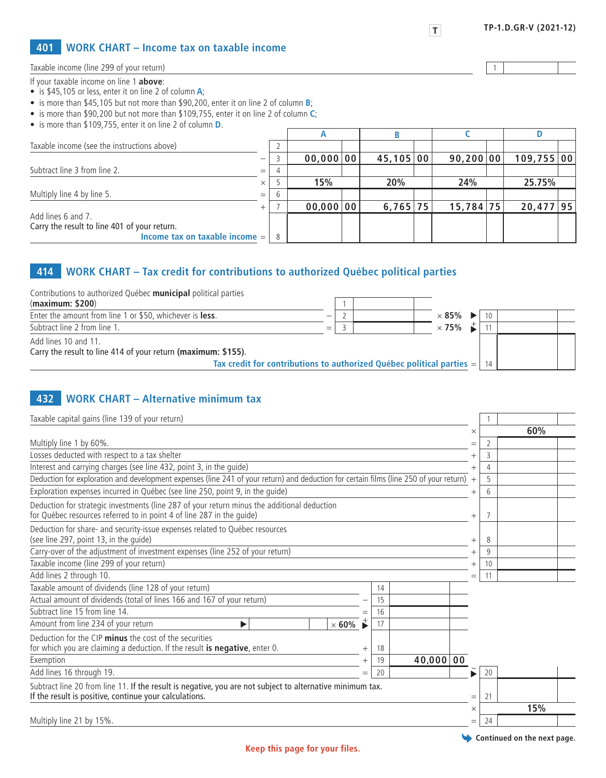#### **401 WORK CHART – Income tax on taxable income**

Taxable income (line 299 of your return) 1

#### If your taxable income on line 1 **above**:

- is \$45,105 or less, enter it on line 2 of column **A**;
- is more than \$45,105 but not more than \$90,200, enter it on line 2 of column **B**;
- is more than \$90,200 but not more than \$109,755, enter it on line 2 of column **C**;
- is more than \$109,755, enter it on line 2 of column **D**.

|                                              |                          |              | n         |  |            |  |           |  |             |  |
|----------------------------------------------|--------------------------|--------------|-----------|--|------------|--|-----------|--|-------------|--|
| Taxable income (see the instructions above)  |                          |              |           |  |            |  |           |  |             |  |
|                                              | $\overline{\phantom{0}}$ |              | 00,000 00 |  | 45,105 00  |  | 90,200 00 |  | 109,755 00  |  |
| Subtract line 3 from line 2.                 | $=$                      |              |           |  |            |  |           |  |             |  |
|                                              | $\times$                 |              | 15%       |  | 20%        |  | 24%       |  | 25.75%      |  |
| Multiply line 4 by line 5.                   | $=$                      | $\mathbf{b}$ |           |  |            |  |           |  |             |  |
|                                              | $+$                      |              | 00,000 00 |  | $6,765$ 75 |  | 15,784 75 |  | $20,477$ 95 |  |
| Add lines 6 and 7.                           |                          |              |           |  |            |  |           |  |             |  |
| Carry the result to line 401 of your return. |                          |              |           |  |            |  |           |  |             |  |
| Income tax on taxable income $=$ $\vert$     |                          | 8            |           |  |            |  |           |  |             |  |

## **414 WORK CHART – Tax credit for contributions to authorized Québec political parties**

| Contributions to authorized Québec municipal political parties               |  |                                    |    |  |
|------------------------------------------------------------------------------|--|------------------------------------|----|--|
| (maximum: \$200)                                                             |  |                                    |    |  |
| Enter the amount from line 1 or \$50, whichever is less.                     |  | $\times$ 85% $\blacktriangleright$ | 10 |  |
| Subtract line 2 from line 1.                                                 |  | $\times$ 75%                       |    |  |
| Add lines 10 and 11.                                                         |  |                                    |    |  |
| Carry the result to line 414 of your return (maximum: \$155).                |  |                                    |    |  |
| Tax credit for contributions to authorized Québec political parties $=$   14 |  |                                    |    |  |
|                                                                              |  |                                    |    |  |

## **432 WORK CHART – Alternative minimum tax**

| Taxable capital gains (line 139 of your return)                                                                                                                      |                      |             |           |          |             |                             |  |
|----------------------------------------------------------------------------------------------------------------------------------------------------------------------|----------------------|-------------|-----------|----------|-------------|-----------------------------|--|
|                                                                                                                                                                      |                      |             |           | $\times$ |             | 60%                         |  |
| Multiply line 1 by 60%.                                                                                                                                              |                      |             |           |          | $=$         |                             |  |
| Losses deducted with respect to a tax shelter                                                                                                                        |                      |             |           | $^{+}$   | 3           |                             |  |
| Interest and carrying charges (see line 432, point 3, in the guide)                                                                                                  |                      |             |           |          | 4           |                             |  |
| Deduction for exploration and development expenses (line 241 of your return) and deduction for certain films (line 250 of your return)                               |                      |             |           | $^{+}$   | 5           |                             |  |
| Exploration expenses incurred in Québec (see line 250, point 9, in the quide)                                                                                        |                      |             |           |          | 6<br>$^{+}$ |                             |  |
| Deduction for strategic investments (line 287 of your return minus the additional deduction<br>for Québec resources referred to in point 4 of line 287 in the quide) |                      |             |           | $^{+}$   | 7           |                             |  |
| Deduction for share- and security-issue expenses related to Québec resources<br>(see line 297, point 13, in the guide)                                               | 8<br>$^{+}$          |             |           |          |             |                             |  |
| Carry-over of the adjustment of investment expenses (line 252 of your return)                                                                                        |                      | 9<br>$^{+}$ |           |          |             |                             |  |
| Taxable income (line 299 of your return)                                                                                                                             |                      | 10          |           |          |             |                             |  |
| Add lines 2 through 10.                                                                                                                                              |                      |             |           | $=$      | 11          |                             |  |
| Taxable amount of dividends (line 128 of your return)                                                                                                                |                      | 14          |           |          |             |                             |  |
| Actual amount of dividends (total of lines 166 and 167 of your return)                                                                                               |                      | 15          |           |          |             |                             |  |
| Subtract line 15 from line 14.                                                                                                                                       | $=$                  | 16          |           |          |             |                             |  |
| Amount from line 234 of your return<br>$\times$ 60%<br>▶                                                                                                             | $\overrightarrow{ }$ | 17          |           |          |             |                             |  |
| Deduction for the CIP minus the cost of the securities<br>for which you are claiming a deduction. If the result is negative, enter 0.                                | $^+$                 | 18          |           |          |             |                             |  |
| Exemption                                                                                                                                                            | $^{+}$               | 19          | 40,000 00 |          |             |                             |  |
| Add lines 16 through 19.                                                                                                                                             | $=$                  | 20          |           | ▶        | 20          |                             |  |
| Subtract line 20 from line 11. If the result is negative, you are not subject to alternative minimum tax.<br>If the result is positive, continue your calculations.  |                      |             |           | $=$      | 21          |                             |  |
|                                                                                                                                                                      |                      |             |           | $\times$ |             | 15%                         |  |
| Multiply line 21 by 15%.                                                                                                                                             |                      |             |           | $=$      | 24          |                             |  |
|                                                                                                                                                                      |                      |             |           |          |             | Continued on the next page. |  |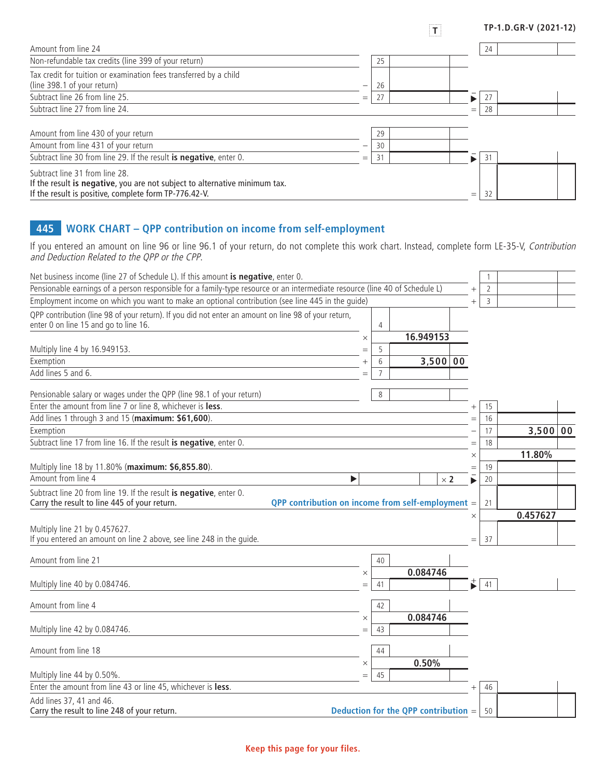| Amount from line 24                                                                                                                                                   |     |    |     | 24 |  |
|-----------------------------------------------------------------------------------------------------------------------------------------------------------------------|-----|----|-----|----|--|
| Non-refundable tax credits (line 399 of your return)                                                                                                                  |     | 25 |     |    |  |
| Tax credit for tuition or examination fees transferred by a child<br>(line 398.1 of your return)                                                                      |     | 26 |     |    |  |
| Subtract line 26 from line 25.                                                                                                                                        | $=$ | 27 |     | 27 |  |
| Subtract line 27 from line 24.                                                                                                                                        |     |    | $=$ | 28 |  |
|                                                                                                                                                                       |     |    |     |    |  |
| Amount from line 430 of your return                                                                                                                                   |     | 29 |     |    |  |
| Amount from line 431 of your return                                                                                                                                   |     | 30 |     |    |  |
| Subtract line 30 from line 29. If the result is negative, enter 0.                                                                                                    | $=$ | 31 |     | 31 |  |
| Subtract line 31 from line 28.<br>If the result is negative, you are not subject to alternative minimum tax.<br>If the result is positive, complete form TP-776.42-V. |     |    | $=$ | 32 |  |

**T TP-1.D.GR-V (2021-12)**

## **445 WORK CHART – QPP contribution on income from self-employment**

If you entered an amount on line 96 or line 96.1 of your return, do not complete this work chart. Instead, complete form LE-35-V, *Contribution* and Deduction Related to the QPP or the CPP.

| Net business income (line 27 of Schedule L). If this amount is negative, enter 0.                                                             |          |                |                                      |            |    |          |  |
|-----------------------------------------------------------------------------------------------------------------------------------------------|----------|----------------|--------------------------------------|------------|----|----------|--|
| Pensionable earnings of a person responsible for a family-type resource or an intermediate resource (line 40 of Schedule L)                   |          |                |                                      | $^{+}$     | 2  |          |  |
| Employment income on which you want to make an optional contribution (see line 445 in the quide)                                              |          |                |                                      | $^{+}$     | 3  |          |  |
| QPP contribution (line 98 of your return). If you did not enter an amount on line 98 of your return,<br>enter 0 on line 15 and go to line 16. |          | 4              |                                      |            |    |          |  |
|                                                                                                                                               | $\times$ |                | 16.949153                            |            |    |          |  |
| Multiply line 4 by 16.949153.                                                                                                                 |          | 5              |                                      |            |    |          |  |
| Exemption                                                                                                                                     |          | 6              | 3,500 00                             |            |    |          |  |
| Add lines 5 and 6.                                                                                                                            |          | $\overline{7}$ |                                      |            |    |          |  |
| Pensionable salary or wages under the QPP (line 98.1 of your return)                                                                          |          | 8              |                                      |            |    |          |  |
| Enter the amount from line 7 or line 8, whichever is less.                                                                                    |          |                |                                      |            | 15 |          |  |
| Add lines 1 through 3 and 15 (maximum: \$61,600).                                                                                             |          |                |                                      |            | 16 |          |  |
| Exemption                                                                                                                                     |          |                |                                      |            | 17 | 3,500 00 |  |
| Subtract line 17 from line 16. If the result is negative, enter 0.                                                                            |          |                |                                      | =          | 18 |          |  |
|                                                                                                                                               |          |                |                                      | X          |    | 11.80%   |  |
| Multiply line 18 by 11.80% (maximum: \$6,855.80).                                                                                             |          |                |                                      | $=$        | 19 |          |  |
| Amount from line 4                                                                                                                            | ▶        |                | $\times$ 2                           |            | 20 |          |  |
| Subtract line 20 from line 19. If the result is negative, enter 0.                                                                            |          |                |                                      |            |    |          |  |
| Carry the result to line 445 of your return.<br><b>QPP contribution on income from self-employment <math>=</math></b>                         |          |                |                                      |            | 21 |          |  |
|                                                                                                                                               |          |                |                                      | $\times$   |    | 0.457627 |  |
| Multiply line 21 by 0.457627.                                                                                                                 |          |                |                                      |            |    |          |  |
| If you entered an amount on line 2 above, see line 248 in the quide.                                                                          |          |                |                                      | $=$        | 37 |          |  |
| Amount from line 21                                                                                                                           |          | 40             |                                      |            |    |          |  |
|                                                                                                                                               | $\times$ |                | 0.084746                             |            |    |          |  |
| Multiply line 40 by 0.084746.                                                                                                                 |          | 41             |                                      | $\ddagger$ | 41 |          |  |
|                                                                                                                                               |          |                |                                      |            |    |          |  |
| Amount from line 4                                                                                                                            |          | 42             |                                      |            |    |          |  |
|                                                                                                                                               | $\times$ |                | 0.084746                             |            |    |          |  |
| Multiply line 42 by 0.084746.                                                                                                                 | $=$      | 43             |                                      |            |    |          |  |
| Amount from line 18                                                                                                                           |          | 44             |                                      |            |    |          |  |
|                                                                                                                                               | $\times$ |                | 0.50%                                |            |    |          |  |
| Multiply line 44 by 0.50%.                                                                                                                    |          | 45             |                                      |            |    |          |  |
| Enter the amount from line 43 or line 45, whichever is less.                                                                                  |          |                |                                      | $^{+}$     | 46 |          |  |
| Add lines 37, 41 and 46.                                                                                                                      |          |                |                                      |            |    |          |  |
| Carry the result to line 248 of your return.                                                                                                  |          |                | Deduction for the QPP contribution = |            | 50 |          |  |